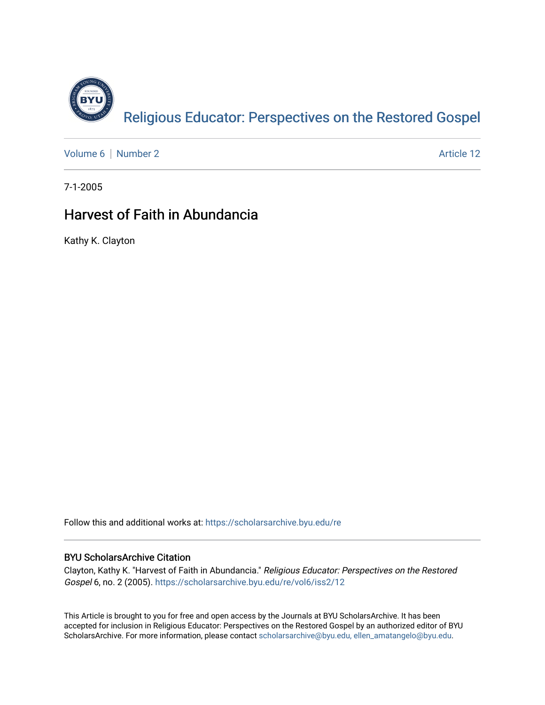

[Volume 6](https://scholarsarchive.byu.edu/re/vol6) | [Number 2](https://scholarsarchive.byu.edu/re/vol6/iss2) Article 12

7-1-2005

# Harvest of Faith in Abundancia

Kathy K. Clayton

Follow this and additional works at: [https://scholarsarchive.byu.edu/re](https://scholarsarchive.byu.edu/re?utm_source=scholarsarchive.byu.edu%2Fre%2Fvol6%2Fiss2%2F12&utm_medium=PDF&utm_campaign=PDFCoverPages)

# BYU ScholarsArchive Citation

Clayton, Kathy K. "Harvest of Faith in Abundancia." Religious Educator: Perspectives on the Restored Gospel 6, no. 2 (2005). [https://scholarsarchive.byu.edu/re/vol6/iss2/12](https://scholarsarchive.byu.edu/re/vol6/iss2/12?utm_source=scholarsarchive.byu.edu%2Fre%2Fvol6%2Fiss2%2F12&utm_medium=PDF&utm_campaign=PDFCoverPages)

This Article is brought to you for free and open access by the Journals at BYU ScholarsArchive. It has been accepted for inclusion in Religious Educator: Perspectives on the Restored Gospel by an authorized editor of BYU ScholarsArchive. For more information, please contact [scholarsarchive@byu.edu, ellen\\_amatangelo@byu.edu.](mailto:scholarsarchive@byu.edu,%20ellen_amatangelo@byu.edu)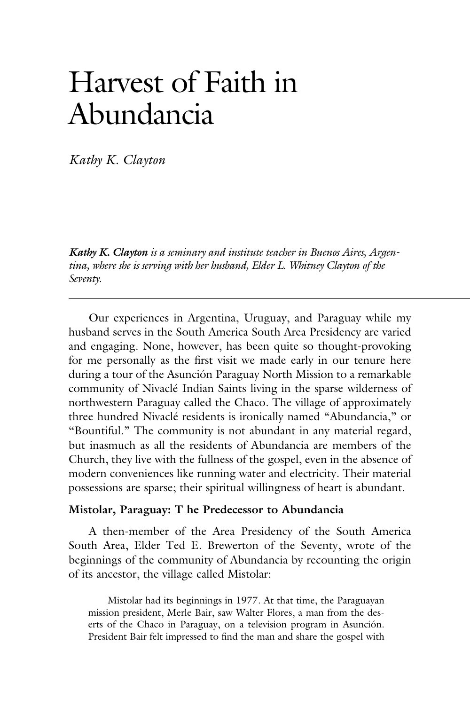# Harvest of Faith in Abundancia

*Kathy K. Clayton*

*Kathy K. Clayton is a seminary and institute teacher in Buenos Aires, Argentina, where she is serving with her husband, Elder L. Whitney Clayton of the Seventy.*

 Our experiences in Argentina, Uruguay, and Paraguay while my husband serves in the South America South Area Presidency are varied and engaging. None, however, has been quite so thought-provoking for me personally as the first visit we made early in our tenure here during a tour of the Asunción Paraguay North Mission to a remarkable community of Nivaclé Indian Saints living in the sparse wilderness of northwestern Paraguay called the Chaco. The village of approximately three hundred Nivaclé residents is ironically named "Abundancia," or "Bountiful." The community is not abundant in any material regard, but inasmuch as all the residents of Abundancia are members of the Church, they live with the fullness of the gospel, even in the absence of modern conveniences like running water and electricity. Their material possessions are sparse; their spiritual willingness of heart is abundant.

#### **Mistolar, Paraguay: T he Predecessor to Abundancia**

 A then-member of the Area Presidency of the South America South Area, Elder Ted E. Brewerton of the Seventy, wrote of the beginnings of the community of Abundancia by recounting the origin of its ancestor, the village called Mistolar:

 Mistolar had its beginnings in 1977. At that time, the Paraguayan mission president, Merle Bair, saw Walter Flores, a man from the deserts of the Chaco in Paraguay, on a television program in Asunción. President Bair felt impressed to find the man and share the gospel with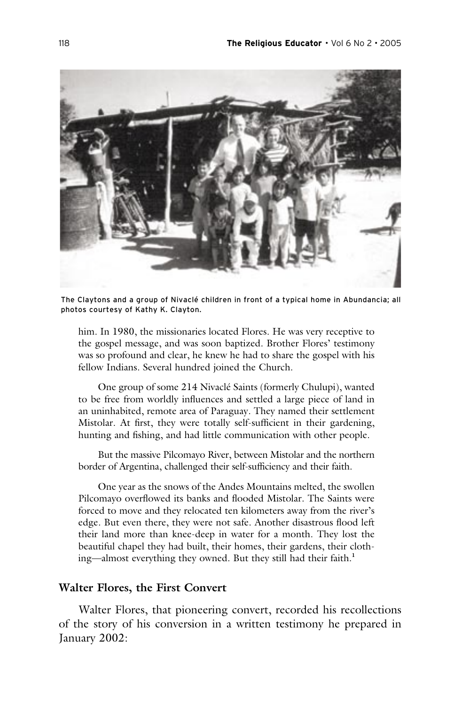

The Claytons and a group of Nivaclé children in front of a typical home in Abundancia; all photos courtesy of Kathy K. Clayton.

him. In 1980, the missionaries located Flores. He was very receptive to the gospel message, and was soon baptized. Brother Flores' testimony was so profound and clear, he knew he had to share the gospel with his fellow Indians. Several hundred joined the Church.

 One group of some 214 Nivaclé Saints (formerly Chulupi), wanted to be free from worldly influences and settled a large piece of land in an uninhabited, remote area of Paraguay. They named their settlement Mistolar. At first, they were totally self-sufficient in their gardening, hunting and fishing, and had little communication with other people.

 But the massive Pilcomayo River, between Mistolar and the northern border of Argentina, challenged their self-sufficiency and their faith.

 One year as the snows of the Andes Mountains melted, the swollen Pilcomayo overflowed its banks and flooded Mistolar. The Saints were forced to move and they relocated ten kilometers away from the river's edge. But even there, they were not safe. Another disastrous flood left their land more than knee-deep in water for a month. They lost the beautiful chapel they had built, their homes, their gardens, their clothing—almost everything they owned. But they still had their faith.**<sup>1</sup>**

#### **Walter Flores, the First Convert**

 Walter Flores, that pioneering convert, recorded his recollections of the story of his conversion in a written testimony he prepared in January 2002: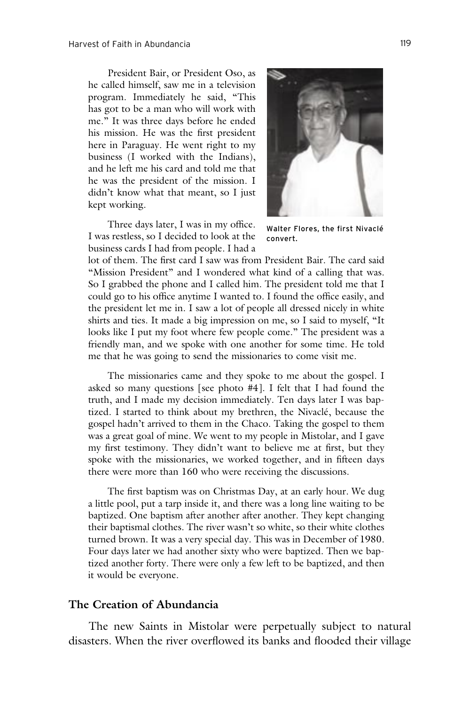President Bair, or President Oso, as he called himself, saw me in a television program. Immediately he said, "This has got to be a man who will work with me." It was three days before he ended his mission. He was the first president here in Paraguay. He went right to my business (I worked with the Indians), and he left me his card and told me that he was the president of the mission. I didn't know what that meant, so I just kept working.

 Three days later, I was in my office. I was restless, so I decided to look at the business cards I had from people. I had a



lot of them. The first card I saw was from President Bair. The card said "Mission President" and I wondered what kind of a calling that was. So I grabbed the phone and I called him. The president told me that I could go to his office anytime I wanted to. I found the office easily, and the president let me in. I saw a lot of people all dressed nicely in white shirts and ties. It made a big impression on me, so I said to myself, "It looks like I put my foot where few people come." The president was a friendly man, and we spoke with one another for some time. He told me that he was going to send the missionaries to come visit me.

 The missionaries came and they spoke to me about the gospel. I asked so many questions [see photo #4]. I felt that I had found the truth, and I made my decision immediately. Ten days later I was baptized. I started to think about my brethren, the Nivaclé, because the gospel hadn't arrived to them in the Chaco. Taking the gospel to them was a great goal of mine. We went to my people in Mistolar, and I gave my first testimony. They didn't want to believe me at first, but they spoke with the missionaries, we worked together, and in fifteen days there were more than 160 who were receiving the discussions.

 The first baptism was on Christmas Day, at an early hour. We dug a little pool, put a tarp inside it, and there was a long line waiting to be baptized. One baptism after another after another. They kept changing their baptismal clothes. The river wasn't so white, so their white clothes turned brown. It was a very special day. This was in December of 1980. Four days later we had another sixty who were baptized. Then we baptized another forty. There were only a few left to be baptized, and then it would be everyone.

#### **The Creation of Abundancia**

 The new Saints in Mistolar were perpetually subject to natural disasters. When the river overflowed its banks and flooded their village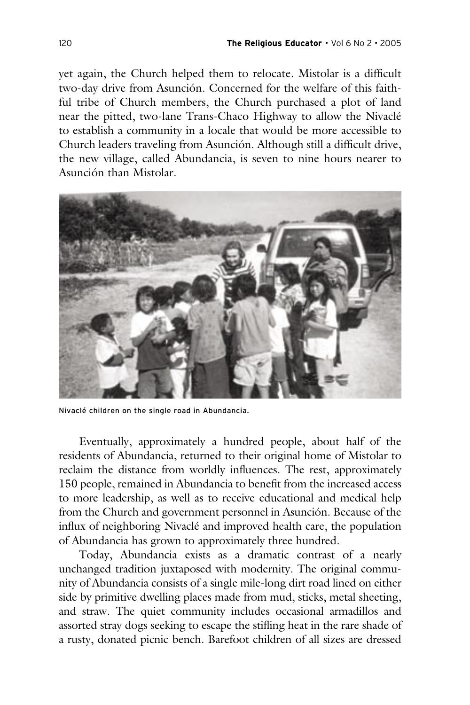yet again, the Church helped them to relocate. Mistolar is a difficult two-day drive from Asunción. Concerned for the welfare of this faithful tribe of Church members, the Church purchased a plot of land near the pitted, two-lane Trans-Chaco Highway to allow the Nivaclé to establish a community in a locale that would be more accessible to Church leaders traveling from Asunción. Although still a difficult drive, the new village, called Abundancia, is seven to nine hours nearer to Asunción than Mistolar.



Nivaclé children on the single road in Abundancia.

 Eventually, approximately a hundred people, about half of the residents of Abundancia, returned to their original home of Mistolar to reclaim the distance from worldly influences. The rest, approximately 150 people, remained in Abundancia to benefit from the increased access to more leadership, as well as to receive educational and medical help from the Church and government personnel in Asunción. Because of the influx of neighboring Nivaclé and improved health care, the population of Abundancia has grown to approximately three hundred.

 Today, Abundancia exists as a dramatic contrast of a nearly unchanged tradition juxtaposed with modernity. The original community of Abundancia consists of a single mile-long dirt road lined on either side by primitive dwelling places made from mud, sticks, metal sheeting, and straw. The quiet community includes occasional armadillos and assorted stray dogs seeking to escape the stifling heat in the rare shade of a rusty, donated picnic bench. Barefoot children of all sizes are dressed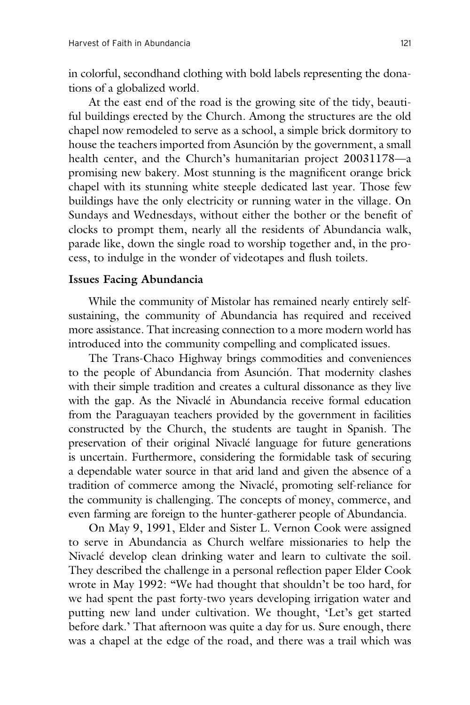in colorful, secondhand clothing with bold labels representing the donations of a globalized world.

 At the east end of the road is the growing site of the tidy, beautiful buildings erected by the Church. Among the structures are the old chapel now remodeled to serve as a school, a simple brick dormitory to house the teachers imported from Asunción by the government, a small health center, and the Church's humanitarian project 20031178—a promising new bakery. Most stunning is the magnificent orange brick chapel with its stunning white steeple dedicated last year. Those few buildings have the only electricity or running water in the village. On Sundays and Wednesdays, without either the bother or the benefit of clocks to prompt them, nearly all the residents of Abundancia walk, parade like, down the single road to worship together and, in the process, to indulge in the wonder of videotapes and flush toilets.

# **Issues Facing Abundancia**

 While the community of Mistolar has remained nearly entirely selfsustaining, the community of Abundancia has required and received more assistance. That increasing connection to a more modern world has introduced into the community compelling and complicated issues.

 The Trans-Chaco Highway brings commodities and conveniences to the people of Abundancia from Asunción. That modernity clashes with their simple tradition and creates a cultural dissonance as they live with the gap. As the Nivaclé in Abundancia receive formal education from the Paraguayan teachers provided by the government in facilities constructed by the Church, the students are taught in Spanish. The preservation of their original Nivaclé language for future generations is uncertain. Furthermore, considering the formidable task of securing a dependable water source in that arid land and given the absence of a tradition of commerce among the Nivaclé, promoting self-reliance for the community is challenging. The concepts of money, commerce, and even farming are foreign to the hunter-gatherer people of Abundancia.

 On May 9, 1991, Elder and Sister L. Vernon Cook were assigned to serve in Abundancia as Church welfare missionaries to help the Nivaclé develop clean drinking water and learn to cultivate the soil. They described the challenge in a personal reflection paper Elder Cook wrote in May 1992: "We had thought that shouldn't be too hard, for we had spent the past forty-two years developing irrigation water and putting new land under cultivation. We thought, 'Let's get started before dark.' That afternoon was quite a day for us. Sure enough, there was a chapel at the edge of the road, and there was a trail which was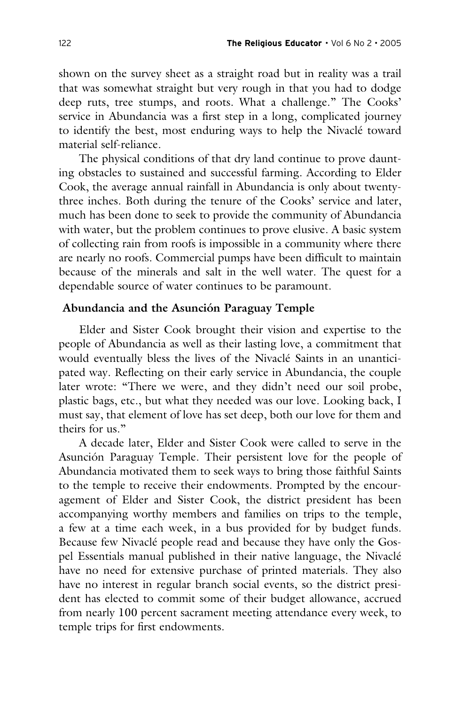shown on the survey sheet as a straight road but in reality was a trail that was somewhat straight but very rough in that you had to dodge deep ruts, tree stumps, and roots. What a challenge." The Cooks' service in Abundancia was a first step in a long, complicated journey to identify the best, most enduring ways to help the Nivaclé toward material self-reliance.

 The physical conditions of that dry land continue to prove daunting obstacles to sustained and successful farming. According to Elder Cook, the average annual rainfall in Abundancia is only about twentythree inches. Both during the tenure of the Cooks' service and later, much has been done to seek to provide the community of Abundancia with water, but the problem continues to prove elusive. A basic system of collecting rain from roofs is impossible in a community where there are nearly no roofs. Commercial pumps have been difficult to maintain because of the minerals and salt in the well water. The quest for a dependable source of water continues to be paramount.

### **Abundancia and the Asunción Paraguay Temple**

 Elder and Sister Cook brought their vision and expertise to the people of Abundancia as well as their lasting love, a commitment that would eventually bless the lives of the Nivaclé Saints in an unanticipated way. Reflecting on their early service in Abundancia, the couple later wrote: "There we were, and they didn't need our soil probe, plastic bags, etc., but what they needed was our love. Looking back, I must say, that element of love has set deep, both our love for them and theirs for us."

 A decade later, Elder and Sister Cook were called to serve in the Asunción Paraguay Temple. Their persistent love for the people of Abundancia motivated them to seek ways to bring those faithful Saints to the temple to receive their endowments. Prompted by the encouragement of Elder and Sister Cook, the district president has been accompanying worthy members and families on trips to the temple, a few at a time each week, in a bus provided for by budget funds. Because few Nivaclé people read and because they have only the Gospel Essentials manual published in their native language, the Nivaclé have no need for extensive purchase of printed materials. They also have no interest in regular branch social events, so the district president has elected to commit some of their budget allowance, accrued from nearly 100 percent sacrament meeting attendance every week, to temple trips for first endowments.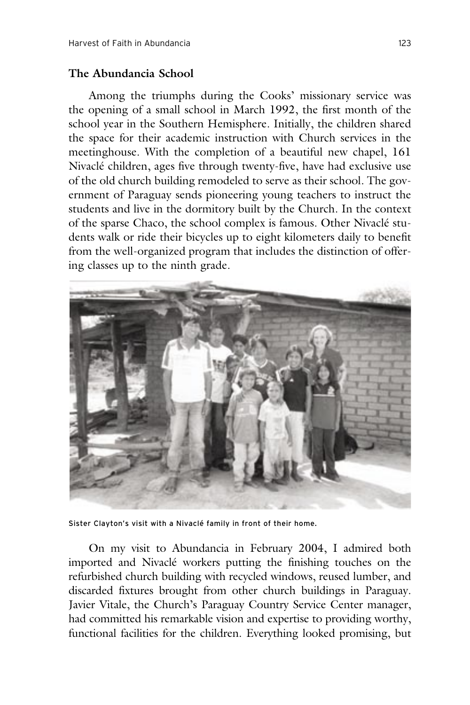# **The Abundancia School**

 Among the triumphs during the Cooks' missionary service was the opening of a small school in March 1992, the first month of the school year in the Southern Hemisphere. Initially, the children shared the space for their academic instruction with Church services in the meetinghouse. With the completion of a beautiful new chapel, 161 Nivaclé children, ages five through twenty-five, have had exclusive use of the old church building remodeled to serve as their school. The government of Paraguay sends pioneering young teachers to instruct the students and live in the dormitory built by the Church. In the context of the sparse Chaco, the school complex is famous. Other Nivaclé students walk or ride their bicycles up to eight kilometers daily to benefit from the well-organized program that includes the distinction of offering classes up to the ninth grade.



Sister Clayton's visit with a Nivaclé family in front of their home.

 On my visit to Abundancia in February 2004, I admired both imported and Nivaclé workers putting the finishing touches on the refurbished church building with recycled windows, reused lumber, and discarded fixtures brought from other church buildings in Paraguay. Javier Vitale, the Church's Paraguay Country Service Center manager, had committed his remarkable vision and expertise to providing worthy, functional facilities for the children. Everything looked promising, but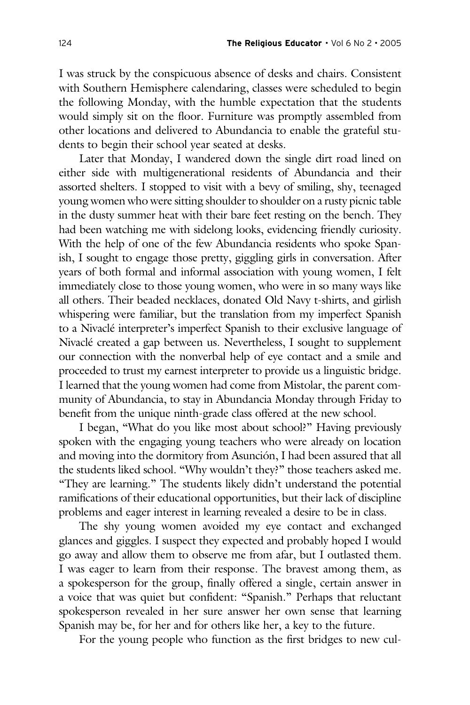I was struck by the conspicuous absence of desks and chairs. Consistent with Southern Hemisphere calendaring, classes were scheduled to begin the following Monday, with the humble expectation that the students would simply sit on the floor. Furniture was promptly assembled from other locations and delivered to Abundancia to enable the grateful students to begin their school year seated at desks.

 Later that Monday, I wandered down the single dirt road lined on either side with multigenerational residents of Abundancia and their assorted shelters. I stopped to visit with a bevy of smiling, shy, teenaged young women who were sitting shoulder to shoulder on a rusty picnic table in the dusty summer heat with their bare feet resting on the bench. They had been watching me with sidelong looks, evidencing friendly curiosity. With the help of one of the few Abundancia residents who spoke Spanish, I sought to engage those pretty, giggling girls in conversation. After years of both formal and informal association with young women, I felt immediately close to those young women, who were in so many ways like all others. Their beaded necklaces, donated Old Navy t-shirts, and girlish whispering were familiar, but the translation from my imperfect Spanish to a Nivaclé interpreter's imperfect Spanish to their exclusive language of Nivaclé created a gap between us. Nevertheless, I sought to supplement our connection with the nonverbal help of eye contact and a smile and proceeded to trust my earnest interpreter to provide us a linguistic bridge. I learned that the young women had come from Mistolar, the parent community of Abundancia, to stay in Abundancia Monday through Friday to benefit from the unique ninth-grade class offered at the new school.

 I began, "What do you like most about school?" Having previously spoken with the engaging young teachers who were already on location and moving into the dormitory from Asunción, I had been assured that all the students liked school. "Why wouldn't they?" those teachers asked me. "They are learning." The students likely didn't understand the potential ramifications of their educational opportunities, but their lack of discipline problems and eager interest in learning revealed a desire to be in class.

 The shy young women avoided my eye contact and exchanged glances and giggles. I suspect they expected and probably hoped I would go away and allow them to observe me from afar, but I outlasted them. I was eager to learn from their response. The bravest among them, as a spokesperson for the group, finally offered a single, certain answer in a voice that was quiet but confident: "Spanish." Perhaps that reluctant spokesperson revealed in her sure answer her own sense that learning Spanish may be, for her and for others like her, a key to the future.

For the young people who function as the first bridges to new cul-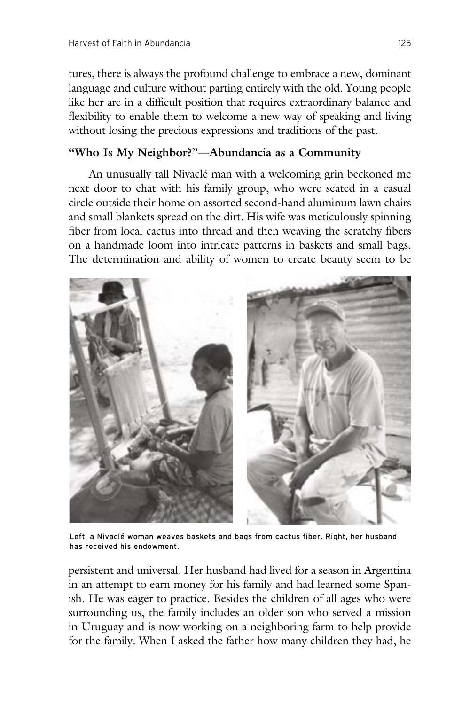tures, there is always the profound challenge to embrace a new, dominant language and culture without parting entirely with the old. Young people like her are in a difficult position that requires extraordinary balance and flexibility to enable them to welcome a new way of speaking and living without losing the precious expressions and traditions of the past.

# **"Who Is My Neighbor?"—Abundancia as a Community**

 An unusually tall Nivaclé man with a welcoming grin beckoned me next door to chat with his family group, who were seated in a casual circle outside their home on assorted second-hand aluminum lawn chairs and small blankets spread on the dirt. His wife was meticulously spinning fiber from local cactus into thread and then weaving the scratchy fibers on a handmade loom into intricate patterns in baskets and small bags. The determination and ability of women to create beauty seem to be



Left, a Nivaclé woman weaves baskets and bags from cactus fiber. Right, her husband has received his endowment.

persistent and universal. Her husband had lived for a season in Argentina in an attempt to earn money for his family and had learned some Spanish. He was eager to practice. Besides the children of all ages who were surrounding us, the family includes an older son who served a mission in Uruguay and is now working on a neighboring farm to help provide for the family. When I asked the father how many children they had, he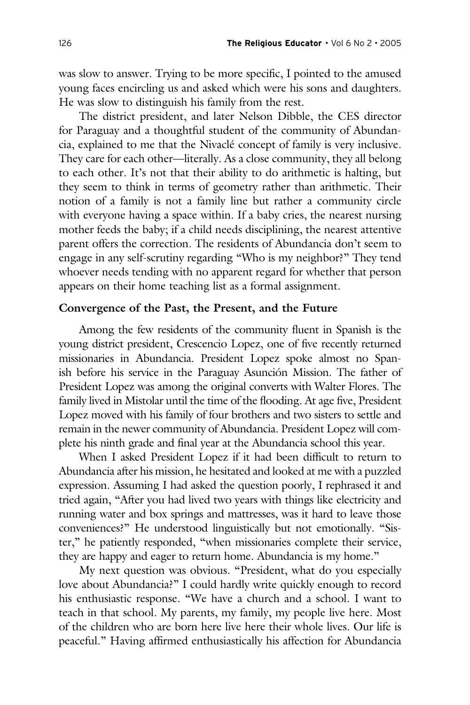was slow to answer. Trying to be more specific, I pointed to the amused young faces encircling us and asked which were his sons and daughters. He was slow to distinguish his family from the rest.

 The district president, and later Nelson Dibble, the CES director for Paraguay and a thoughtful student of the community of Abundancia, explained to me that the Nivaclé concept of family is very inclusive. They care for each other—literally. As a close community, they all belong to each other. It's not that their ability to do arithmetic is halting, but they seem to think in terms of geometry rather than arithmetic. Their notion of a family is not a family line but rather a community circle with everyone having a space within. If a baby cries, the nearest nursing mother feeds the baby; if a child needs disciplining, the nearest attentive parent offers the correction. The residents of Abundancia don't seem to engage in any self-scrutiny regarding "Who is my neighbor?" They tend whoever needs tending with no apparent regard for whether that person appears on their home teaching list as a formal assignment.

### **Convergence of the Past, the Present, and the Future**

 Among the few residents of the community fluent in Spanish is the young district president, Crescencio Lopez, one of five recently returned missionaries in Abundancia. President Lopez spoke almost no Spanish before his service in the Paraguay Asunción Mission. The father of President Lopez was among the original converts with Walter Flores. The family lived in Mistolar until the time of the flooding. At age five, President Lopez moved with his family of four brothers and two sisters to settle and remain in the newer community of Abundancia. President Lopez will complete his ninth grade and final year at the Abundancia school this year.

 When I asked President Lopez if it had been difficult to return to Abundancia after his mission, he hesitated and looked at me with a puzzled expression. Assuming I had asked the question poorly, I rephrased it and tried again, "After you had lived two years with things like electricity and running water and box springs and mattresses, was it hard to leave those conveniences?" He understood linguistically but not emotionally. "Sister," he patiently responded, "when missionaries complete their service, they are happy and eager to return home. Abundancia is my home."

 My next question was obvious. "President, what do you especially love about Abundancia?" I could hardly write quickly enough to record his enthusiastic response. "We have a church and a school. I want to teach in that school. My parents, my family, my people live here. Most of the children who are born here live here their whole lives. Our life is peaceful." Having affirmed enthusiastically his affection for Abundancia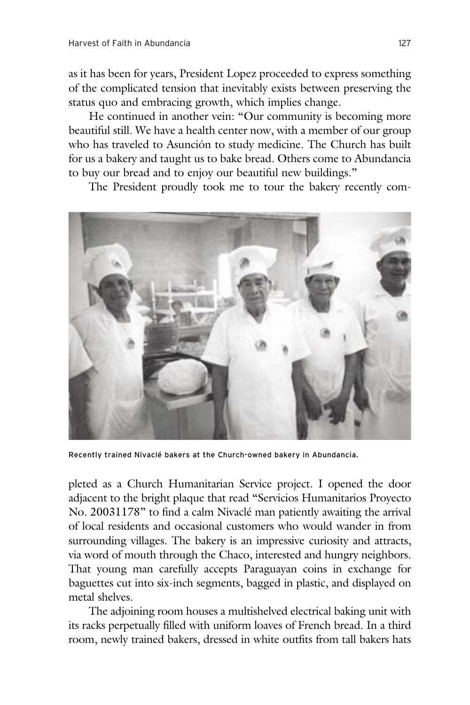as it has been for years, President Lopez proceeded to express something of the complicated tension that inevitably exists between preserving the status quo and embracing growth, which implies change.

 He continued in another vein: "Our community is becoming more beautiful still. We have a health center now, with a member of our group who has traveled to Asunción to study medicine. The Church has built for us a bakery and taught us to bake bread. Others come to Abundancia to buy our bread and to enjoy our beautiful new buildings."

The President proudly took me to tour the bakery recently com-



Recently trained Nivaclé bakers at the Church-owned bakery in Abundancia.

pleted as a Church Humanitarian Service project. I opened the door adjacent to the bright plaque that read "Servicios Humanitarios Proyecto No. 20031178" to find a calm Nivaclé man patiently awaiting the arrival of local residents and occasional customers who would wander in from surrounding villages. The bakery is an impressive curiosity and attracts, via word of mouth through the Chaco, interested and hungry neighbors. That young man carefully accepts Paraguayan coins in exchange for baguettes cut into six-inch segments, bagged in plastic, and displayed on metal shelves.

 The adjoining room houses a multishelved electrical baking unit with its racks perpetually filled with uniform loaves of French bread. In a third room, newly trained bakers, dressed in white outfits from tall bakers hats